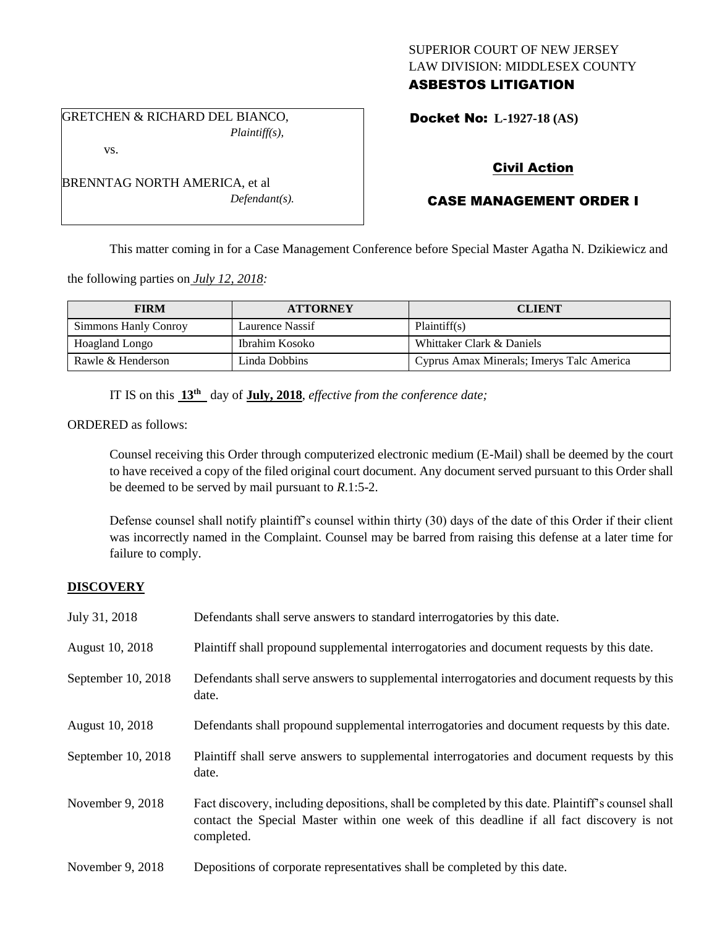# SUPERIOR COURT OF NEW JERSEY LAW DIVISION: MIDDLESEX COUNTY ASBESTOS LITIGATION

Docket No: **L-1927-18 (AS)** 

### vs.

BRENNTAG NORTH AMERICA, et al *Defendant(s).*

GRETCHEN & RICHARD DEL BIANCO,

*Plaintiff(s),*

# Civil Action

# CASE MANAGEMENT ORDER I

This matter coming in for a Case Management Conference before Special Master Agatha N. Dzikiewicz and

the following parties on *July 12, 2018:*

| <b>FIRM</b>          | <b>ATTORNEY</b> | <b>CLIENT</b>                             |
|----------------------|-----------------|-------------------------------------------|
| Simmons Hanly Conroy | Laurence Nassif | Plaintiff(s)                              |
| Hoagland Longo       | Ibrahim Kosoko  | Whittaker Clark & Daniels                 |
| Rawle & Henderson    | Linda Dobbins   | Cyprus Amax Minerals; Imerys Talc America |

IT IS on this  $13<sup>th</sup>$  day of **July, 2018**, *effective from the conference date*;

ORDERED as follows:

Counsel receiving this Order through computerized electronic medium (E-Mail) shall be deemed by the court to have received a copy of the filed original court document. Any document served pursuant to this Order shall be deemed to be served by mail pursuant to *R*.1:5-2.

Defense counsel shall notify plaintiff's counsel within thirty (30) days of the date of this Order if their client was incorrectly named in the Complaint. Counsel may be barred from raising this defense at a later time for failure to comply.

### **DISCOVERY**

| July 31, 2018      | Defendants shall serve answers to standard interrogatories by this date.                                                                                                                                    |
|--------------------|-------------------------------------------------------------------------------------------------------------------------------------------------------------------------------------------------------------|
| August 10, 2018    | Plaintiff shall propound supplemental interrogatories and document requests by this date.                                                                                                                   |
| September 10, 2018 | Defendants shall serve answers to supplemental interrogatories and document requests by this<br>date.                                                                                                       |
| August 10, 2018    | Defendants shall propound supplemental interrogatories and document requests by this date.                                                                                                                  |
| September 10, 2018 | Plaintiff shall serve answers to supplemental interrogatories and document requests by this<br>date.                                                                                                        |
| November 9, 2018   | Fact discovery, including depositions, shall be completed by this date. Plaintiff's counsel shall<br>contact the Special Master within one week of this deadline if all fact discovery is not<br>completed. |
| November 9, 2018   | Depositions of corporate representatives shall be completed by this date.                                                                                                                                   |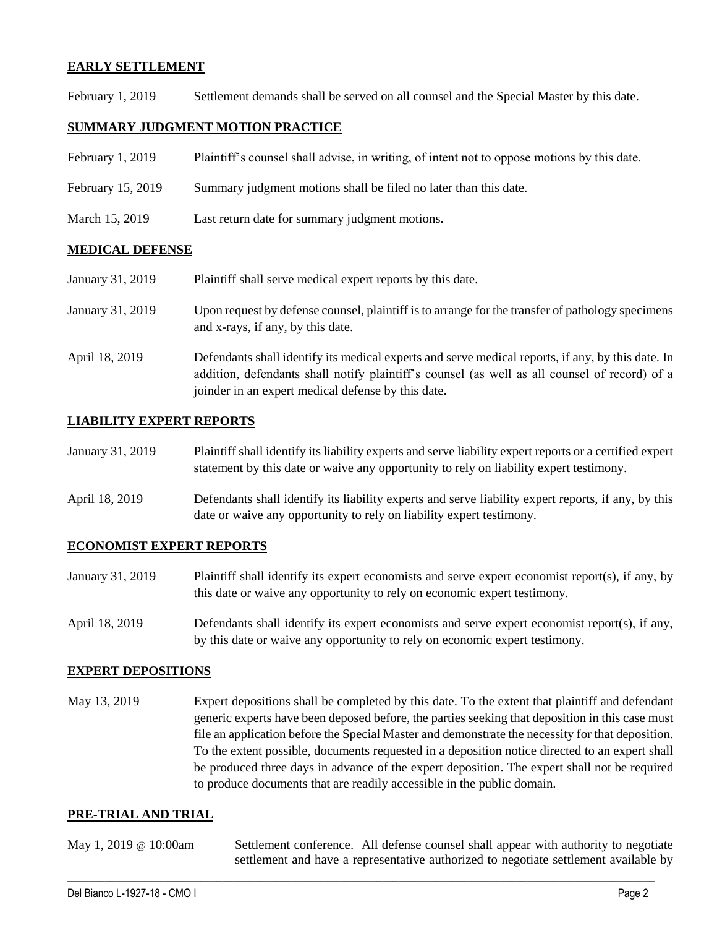### **EARLY SETTLEMENT**

February 1, 2019 Settlement demands shall be served on all counsel and the Special Master by this date.

### **SUMMARY JUDGMENT MOTION PRACTICE**

| February 1, 2019 | Plaintiff's counsel shall advise, in writing, of intent not to oppose motions by this date. |  |  |
|------------------|---------------------------------------------------------------------------------------------|--|--|
|                  |                                                                                             |  |  |

- February 15, 2019 Summary judgment motions shall be filed no later than this date.
- March 15, 2019 Last return date for summary judgment motions.

### **MEDICAL DEFENSE**

January 31, 2019 Plaintiff shall serve medical expert reports by this date.

- January 31, 2019 Upon request by defense counsel, plaintiff is to arrange for the transfer of pathology specimens and x-rays, if any, by this date.
- April 18, 2019 Defendants shall identify its medical experts and serve medical reports, if any, by this date. In addition, defendants shall notify plaintiff's counsel (as well as all counsel of record) of a joinder in an expert medical defense by this date.

### **LIABILITY EXPERT REPORTS**

| January 31, 2019 | Plaintiff shall identify its liability experts and serve liability expert reports or a certified expert |
|------------------|---------------------------------------------------------------------------------------------------------|
|                  | statement by this date or waive any opportunity to rely on liability expert testimony.                  |

April 18, 2019 Defendants shall identify its liability experts and serve liability expert reports, if any, by this date or waive any opportunity to rely on liability expert testimony.

### **ECONOMIST EXPERT REPORTS**

- January 31, 2019 Plaintiff shall identify its expert economists and serve expert economist report(s), if any, by this date or waive any opportunity to rely on economic expert testimony.
- April 18, 2019 Defendants shall identify its expert economists and serve expert economist report(s), if any, by this date or waive any opportunity to rely on economic expert testimony.

### **EXPERT DEPOSITIONS**

May 13, 2019 Expert depositions shall be completed by this date. To the extent that plaintiff and defendant generic experts have been deposed before, the parties seeking that deposition in this case must file an application before the Special Master and demonstrate the necessity for that deposition. To the extent possible, documents requested in a deposition notice directed to an expert shall be produced three days in advance of the expert deposition. The expert shall not be required to produce documents that are readily accessible in the public domain.

### **PRE-TRIAL AND TRIAL**

May 1, 2019 @ 10:00am Settlement conference. All defense counsel shall appear with authority to negotiate settlement and have a representative authorized to negotiate settlement available by

 $\_$  ,  $\_$  ,  $\_$  ,  $\_$  ,  $\_$  ,  $\_$  ,  $\_$  ,  $\_$  ,  $\_$  ,  $\_$  ,  $\_$  ,  $\_$  ,  $\_$  ,  $\_$  ,  $\_$  ,  $\_$  ,  $\_$  ,  $\_$  ,  $\_$  ,  $\_$  ,  $\_$  ,  $\_$  ,  $\_$  ,  $\_$  ,  $\_$  ,  $\_$  ,  $\_$  ,  $\_$  ,  $\_$  ,  $\_$  ,  $\_$  ,  $\_$  ,  $\_$  ,  $\_$  ,  $\_$  ,  $\_$  ,  $\_$  ,